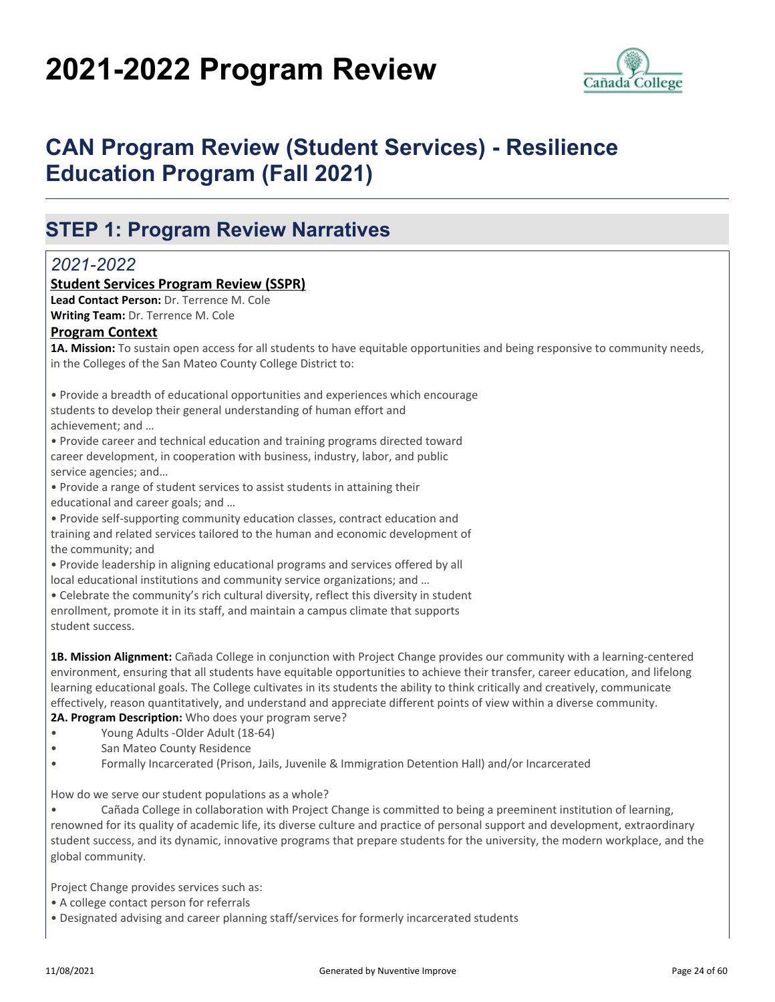# **2021-2022 Program Review**



## **CAN Program Review (Student Services) - Resilience Education Program (Fall 2021)**

### **STEP 1: Program Review Narratives**

### *2021-2022*

#### **Student Services Program Review (SSPR)**

**Lead Contact Person:** Dr. Terrence M. Cole **Writing Team:** Dr. Terrence M. Cole

#### **Program Context**

**1A. Mission:** To sustain open access for all students to have equitable opportunities and being responsive to community needs, in the Colleges of the San Mateo County College District to:

• Provide a breadth of educational opportunities and experiences which encourage students to develop their general understanding of human effort and achievement; and …

• Provide career and technical education and training programs directed toward career development, in cooperation with business, industry, labor, and public service agencies; and…

• Provide a range of student services to assist students in attaining their educational and career goals; and …

• Provide self-supporting community education classes, contract education and training and related services tailored to the human and economic development of the community; and

• Provide leadership in aligning educational programs and services offered by all local educational institutions and community service organizations; and …

• Celebrate the community's rich cultural diversity, reflect this diversity in student enrollment, promote it in its staff, and maintain a campus climate that supports student success.

**1B. Mission Alignment:** Cañada College in conjunction with Project Change provides our community with a learning-centered environment, ensuring that all students have equitable opportunities to achieve their transfer, career education, and lifelong learning educational goals. The College cultivates in its students the ability to think critically and creatively, communicate effectively, reason quantitatively, and understand and appreciate different points of view within a diverse community. **2A. Program Description:** Who does your program serve?

- Young Adults -Older Adult (18-64)
- 
- San Mateo County Residence
- Formally Incarcerated (Prison, Jails, Juvenile & Immigration Detention Hall) and/or Incarcerated

How do we serve our student populations as a whole?

• Cañada College in collaboration with Project Change is committed to being a preeminent institution of learning, renowned for its quality of academic life, its diverse culture and practice of personal support and development, extraordinary student success, and its dynamic, innovative programs that prepare students for the university, the modern workplace, and the global community.

Project Change provides services such as:

- A college contact person for referrals
- Designated advising and career planning staff/services for formerly incarcerated students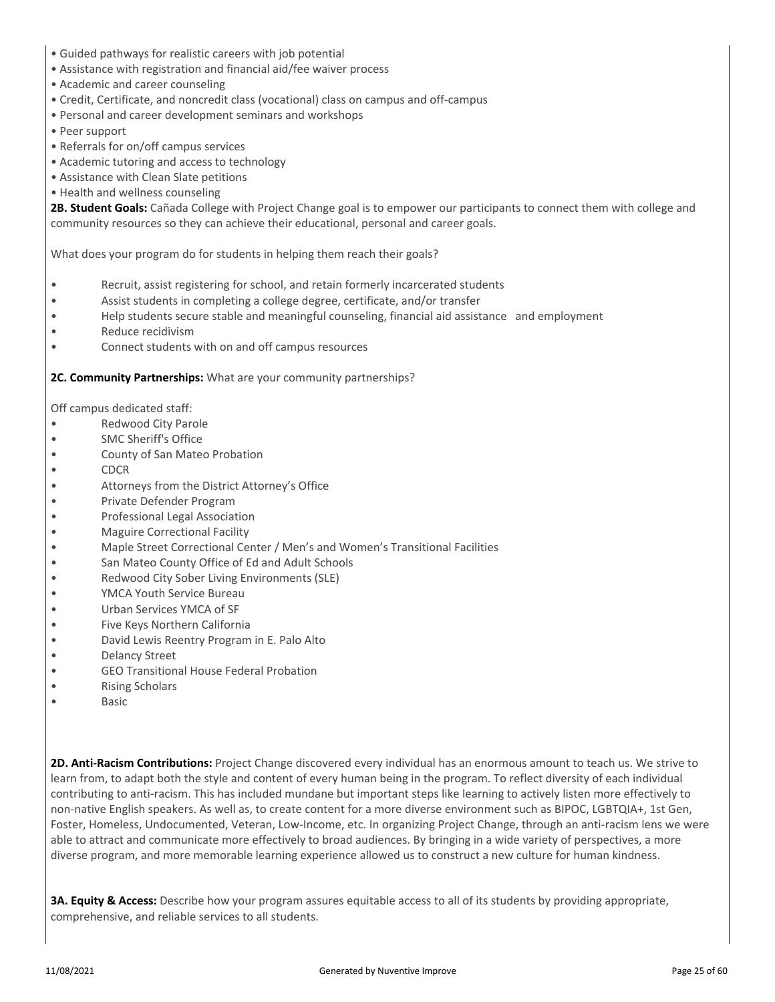- Guided pathways for realistic careers with job potential
- Assistance with registration and financial aid/fee waiver process
- Academic and career counseling
- Credit, Certificate, and noncredit class (vocational) class on campus and off-campus
- Personal and career development seminars and workshops
- Peer support
- Referrals for on/off campus services
- Academic tutoring and access to technology
- Assistance with Clean Slate petitions
- Health and wellness counseling

**2B. Student Goals:** Cañada College with Project Change goal is to empower our participants to connect them with college and community resources so they can achieve their educational, personal and career goals.

What does your program do for students in helping them reach their goals?

- Recruit, assist registering for school, and retain formerly incarcerated students
- Assist students in completing a college degree, certificate, and/or transfer
- Help students secure stable and meaningful counseling, financial aid assistance and employment
- Reduce recidivism
- Connect students with on and off campus resources

**2C. Community Partnerships:** What are your community partnerships?

Off campus dedicated staff:

- Redwood City Parole
- SMC Sheriff's Office
- County of San Mateo Probation
- CDCR
- Attorneys from the District Attorney's Office
- Private Defender Program
- Professional Legal Association
- Maguire Correctional Facility
- Maple Street Correctional Center / Men's and Women's Transitional Facilities
- San Mateo County Office of Ed and Adult Schools
- Redwood City Sober Living Environments (SLE)
- YMCA Youth Service Bureau
- Urban Services YMCA of SF
- Five Keys Northern California
- David Lewis Reentry Program in E. Palo Alto
- Delancy Street
- GEO Transitional House Federal Probation
- Rising Scholars
- Basic

**2D. Anti-Racism Contributions:** Project Change discovered every individual has an enormous amount to teach us. We strive to learn from, to adapt both the style and content of every human being in the program. To reflect diversity of each individual contributing to anti-racism. This has included mundane but important steps like learning to actively listen more effectively to non-native English speakers. As well as, to create content for a more diverse environment such as BIPOC, LGBTQIA+, 1st Gen, Foster, Homeless, Undocumented, Veteran, Low-Income, etc. In organizing Project Change, through an anti-racism lens we were able to attract and communicate more effectively to broad audiences. By bringing in a wide variety of perspectives, a more diverse program, and more memorable learning experience allowed us to construct a new culture for human kindness.

**3A. Equity & Access:** Describe how your program assures equitable access to all of its students by providing appropriate, comprehensive, and reliable services to all students.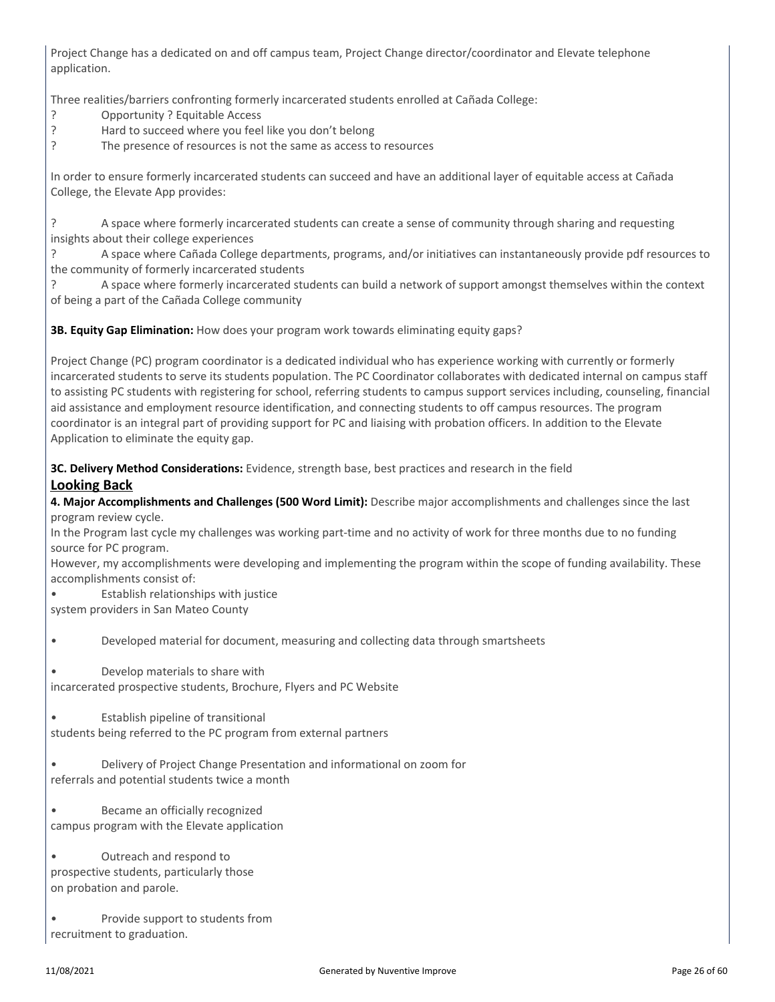Project Change has a dedicated on and off campus team, Project Change director/coordinator and Elevate telephone application.

Three realities/barriers confronting formerly incarcerated students enrolled at Cañada College:

- ? Opportunity ? Equitable Access
- ? Hard to succeed where you feel like you don't belong
- The presence of resources is not the same as access to resources

In order to ensure formerly incarcerated students can succeed and have an additional layer of equitable access at Cañada College, the Elevate App provides:

? A space where formerly incarcerated students can create a sense of community through sharing and requesting insights about their college experiences

? A space where Cañada College departments, programs, and/or initiatives can instantaneously provide pdf resources to the community of formerly incarcerated students

? A space where formerly incarcerated students can build a network of support amongst themselves within the context of being a part of the Cañada College community

**3B. Equity Gap Elimination:** How does your program work towards eliminating equity gaps?

Project Change (PC) program coordinator is a dedicated individual who has experience working with currently or formerly incarcerated students to serve its students population. The PC Coordinator collaborates with dedicated internal on campus staff to assisting PC students with registering for school, referring students to campus support services including, counseling, financial aid assistance and employment resource identification, and connecting students to off campus resources. The program coordinator is an integral part of providing support for PC and liaising with probation officers. In addition to the Elevate Application to eliminate the equity gap.

**3C. Delivery Method Considerations:** Evidence, strength base, best practices and research in the field **Looking Back**

**4. Major Accomplishments and Challenges (500 Word Limit):** Describe major accomplishments and challenges since the last program review cycle.

In the Program last cycle my challenges was working part-time and no activity of work for three months due to no funding source for PC program.

However, my accomplishments were developing and implementing the program within the scope of funding availability. These accomplishments consist of:

• Establish relationships with justice

system providers in San Mateo County

• Developed material for document, measuring and collecting data through smartsheets

• Develop materials to share with incarcerated prospective students, Brochure, Flyers and PC Website

• Establish pipeline of transitional students being referred to the PC program from external partners

• Delivery of Project Change Presentation and informational on zoom for referrals and potential students twice a month

• Became an officially recognized campus program with the Elevate application

• Outreach and respond to prospective students, particularly those on probation and parole.

• Provide support to students from recruitment to graduation.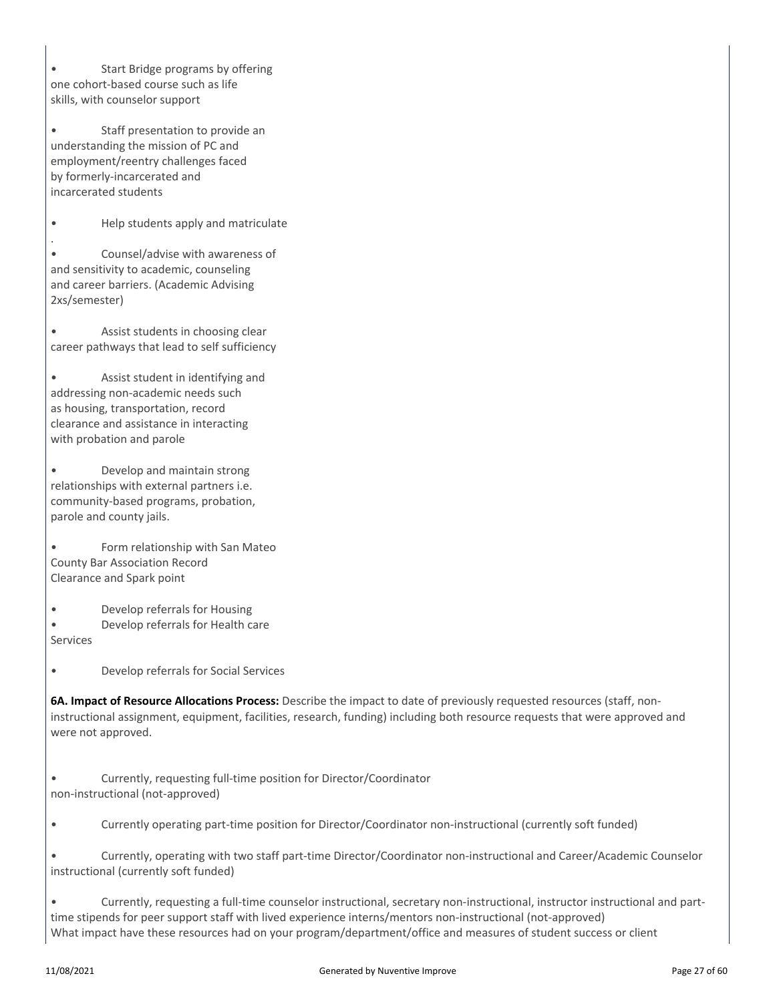• Start Bridge programs by offering one cohort-based course such as life skills, with counselor support

• Staff presentation to provide an understanding the mission of PC and employment/reentry challenges faced by formerly-incarcerated and incarcerated students

• Help students apply and matriculate

. • Counsel/advise with awareness of and sensitivity to academic, counseling and career barriers. (Academic Advising 2xs/semester)

• Assist students in choosing clear career pathways that lead to self sufficiency

• Assist student in identifying and addressing non-academic needs such as housing, transportation, record clearance and assistance in interacting with probation and parole

• Develop and maintain strong relationships with external partners i.e. community-based programs, probation, parole and county jails.

• Form relationship with San Mateo County Bar Association Record Clearance and Spark point

• Develop referrals for Housing

• Develop referrals for Health care Services

• Develop referrals for Social Services

**6A. Impact of Resource Allocations Process:** Describe the impact to date of previously requested resources (staff, noninstructional assignment, equipment, facilities, research, funding) including both resource requests that were approved and were not approved.

• Currently, requesting full-time position for Director/Coordinator non-instructional (not-approved)

• Currently operating part-time position for Director/Coordinator non-instructional (currently soft funded)

• Currently, operating with two staff part-time Director/Coordinator non-instructional and Career/Academic Counselor instructional (currently soft funded)

• Currently, requesting a full-time counselor instructional, secretary non-instructional, instructor instructional and parttime stipends for peer support staff with lived experience interns/mentors non-instructional (not-approved) What impact have these resources had on your program/department/office and measures of student success or client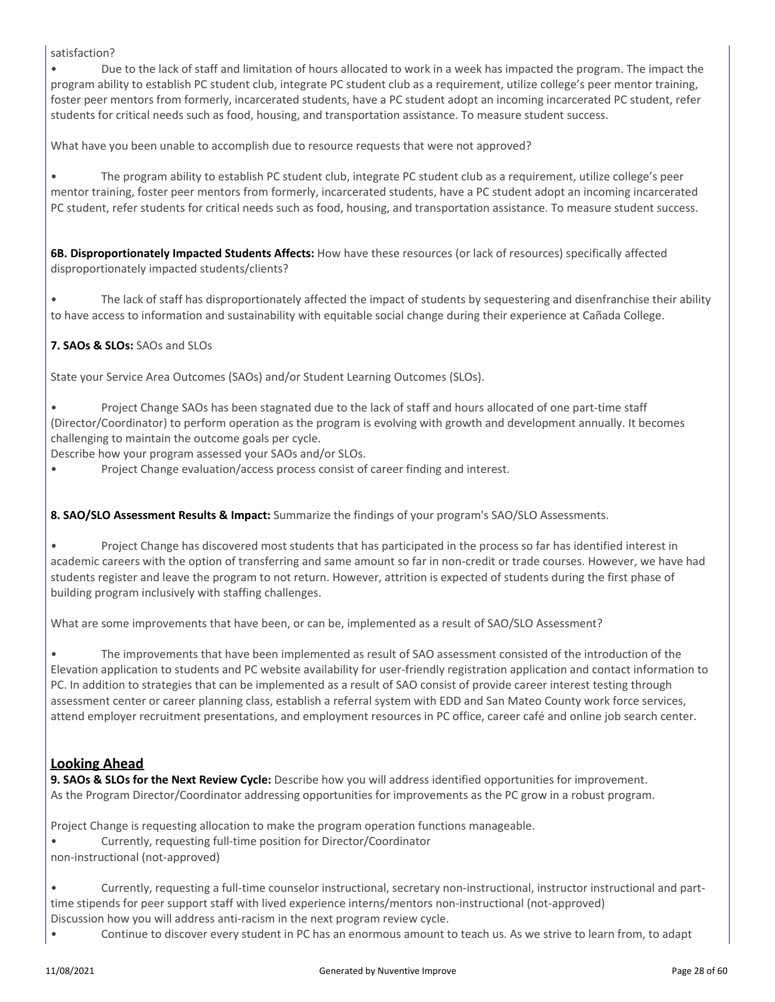#### satisfaction?

• Due to the lack of staff and limitation of hours allocated to work in a week has impacted the program. The impact the program ability to establish PC student club, integrate PC student club as a requirement, utilize college's peer mentor training, foster peer mentors from formerly, incarcerated students, have a PC student adopt an incoming incarcerated PC student, refer students for critical needs such as food, housing, and transportation assistance. To measure student success.

What have you been unable to accomplish due to resource requests that were not approved?

• The program ability to establish PC student club, integrate PC student club as a requirement, utilize college's peer mentor training, foster peer mentors from formerly, incarcerated students, have a PC student adopt an incoming incarcerated PC student, refer students for critical needs such as food, housing, and transportation assistance. To measure student success.

**6B. Disproportionately Impacted Students Affects:** How have these resources (or lack of resources) specifically affected disproportionately impacted students/clients?

• The lack of staff has disproportionately affected the impact of students by sequestering and disenfranchise their ability to have access to information and sustainability with equitable social change during their experience at Cañada College.

#### **7. SAOs & SLOs:** SAOs and SLOs

State your Service Area Outcomes (SAOs) and/or Student Learning Outcomes (SLOs).

• Project Change SAOs has been stagnated due to the lack of staff and hours allocated of one part-time staff (Director/Coordinator) to perform operation as the program is evolving with growth and development annually. It becomes challenging to maintain the outcome goals per cycle.

Describe how your program assessed your SAOs and/or SLOs.

• Project Change evaluation/access process consist of career finding and interest.

#### **8. SAO/SLO Assessment Results & Impact:** Summarize the findings of your program's SAO/SLO Assessments.

• Project Change has discovered most students that has participated in the process so far has identified interest in academic careers with the option of transferring and same amount so far in non-credit or trade courses. However, we have had students register and leave the program to not return. However, attrition is expected of students during the first phase of building program inclusively with staffing challenges.

What are some improvements that have been, or can be, implemented as a result of SAO/SLO Assessment?

• The improvements that have been implemented as result of SAO assessment consisted of the introduction of the Elevation application to students and PC website availability for user-friendly registration application and contact information to PC. In addition to strategies that can be implemented as a result of SAO consist of provide career interest testing through assessment center or career planning class, establish a referral system with EDD and San Mateo County work force services, attend employer recruitment presentations, and employment resources in PC office, career café and online job search center.

#### **Looking Ahead**

**9. SAOs & SLOs for the Next Review Cycle:** Describe how you will address identified opportunities for improvement. As the Program Director/Coordinator addressing opportunities for improvements as the PC grow in a robust program.

Project Change is requesting allocation to make the program operation functions manageable.

- Currently, requesting full-time position for Director/Coordinator
- non-instructional (not-approved)

• Currently, requesting a full-time counselor instructional, secretary non-instructional, instructor instructional and parttime stipends for peer support staff with lived experience interns/mentors non-instructional (not-approved) Discussion how you will address anti-racism in the next program review cycle.

• Continue to discover every student in PC has an enormous amount to teach us. As we strive to learn from, to adapt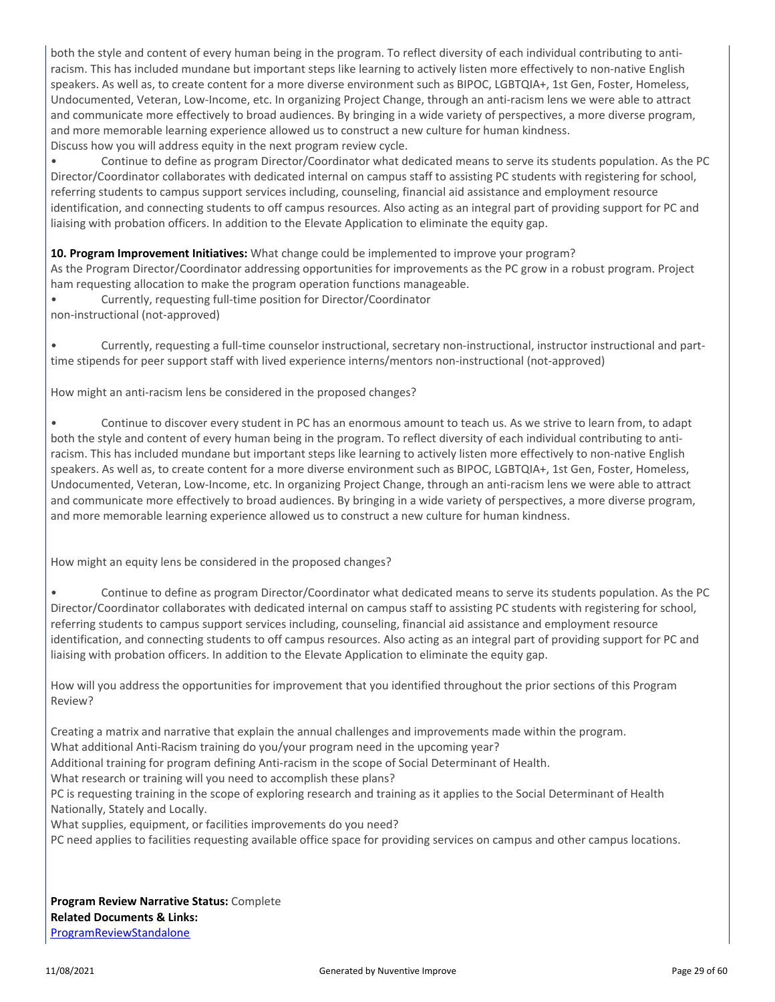both the style and content of every human being in the program. To reflect diversity of each individual contributing to antiracism. This has included mundane but important steps like learning to actively listen more effectively to non-native English speakers. As well as, to create content for a more diverse environment such as BIPOC, LGBTQIA+, 1st Gen, Foster, Homeless, Undocumented, Veteran, Low-Income, etc. In organizing Project Change, through an anti-racism lens we were able to attract and communicate more effectively to broad audiences. By bringing in a wide variety of perspectives, a more diverse program, and more memorable learning experience allowed us to construct a new culture for human kindness. Discuss how you will address equity in the next program review cycle.

• Continue to define as program Director/Coordinator what dedicated means to serve its students population. As the PC Director/Coordinator collaborates with dedicated internal on campus staff to assisting PC students with registering for school, referring students to campus support services including, counseling, financial aid assistance and employment resource identification, and connecting students to off campus resources. Also acting as an integral part of providing support for PC and liaising with probation officers. In addition to the Elevate Application to eliminate the equity gap.

**10. Program Improvement Initiatives:** What change could be implemented to improve your program?

As the Program Director/Coordinator addressing opportunities for improvements as the PC grow in a robust program. Project ham requesting allocation to make the program operation functions manageable.

• Currently, requesting full-time position for Director/Coordinator non-instructional (not-approved)

• Currently, requesting a full-time counselor instructional, secretary non-instructional, instructor instructional and parttime stipends for peer support staff with lived experience interns/mentors non-instructional (not-approved)

How might an anti-racism lens be considered in the proposed changes?

• Continue to discover every student in PC has an enormous amount to teach us. As we strive to learn from, to adapt both the style and content of every human being in the program. To reflect diversity of each individual contributing to antiracism. This has included mundane but important steps like learning to actively listen more effectively to non-native English speakers. As well as, to create content for a more diverse environment such as BIPOC, LGBTQIA+, 1st Gen, Foster, Homeless, Undocumented, Veteran, Low-Income, etc. In organizing Project Change, through an anti-racism lens we were able to attract and communicate more effectively to broad audiences. By bringing in a wide variety of perspectives, a more diverse program, and more memorable learning experience allowed us to construct a new culture for human kindness.

How might an equity lens be considered in the proposed changes?

• Continue to define as program Director/Coordinator what dedicated means to serve its students population. As the PC Director/Coordinator collaborates with dedicated internal on campus staff to assisting PC students with registering for school, referring students to campus support services including, counseling, financial aid assistance and employment resource identification, and connecting students to off campus resources. Also acting as an integral part of providing support for PC and liaising with probation officers. In addition to the Elevate Application to eliminate the equity gap.

How will you address the opportunities for improvement that you identified throughout the prior sections of this Program Review?

Creating a matrix and narrative that explain the annual challenges and improvements made within the program. What additional Anti-Racism training do you/your program need in the upcoming year?

Additional training for program defining Anti-racism in the scope of Social Determinant of Health.

What research or training will you need to accomplish these plans?

PC is requesting training in the scope of exploring research and training as it applies to the Social Determinant of Health Nationally, Stately and Locally.

What supplies, equipment, or facilities improvements do you need?

PC need applies to facilities requesting available office space for providing services on campus and other campus locations.

**Program Review Narrative Status:** Complete **Related Documents & Links:** [ProgramReviewStandalone](https://sanmateo.improve.nuventive.com:443/tracdat/viewDocument?y=aTsIKMlbS5Ud)